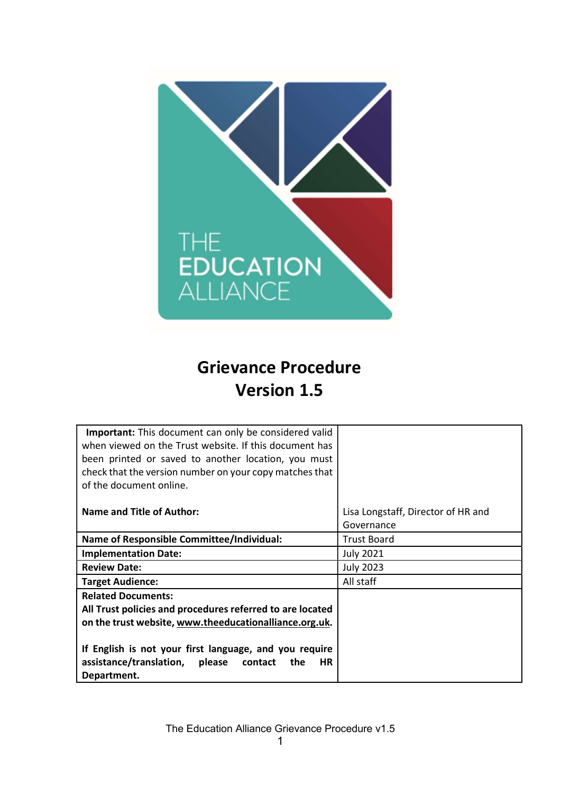

# Grievance Procedure Version 1.5

| Lisa Longstaff, Director of HR and |
|------------------------------------|
| Governance                         |
| <b>Trust Board</b>                 |
| <b>July 2021</b>                   |
| <b>July 2023</b>                   |
| All staff                          |
|                                    |
|                                    |
|                                    |
|                                    |
|                                    |
|                                    |
|                                    |
|                                    |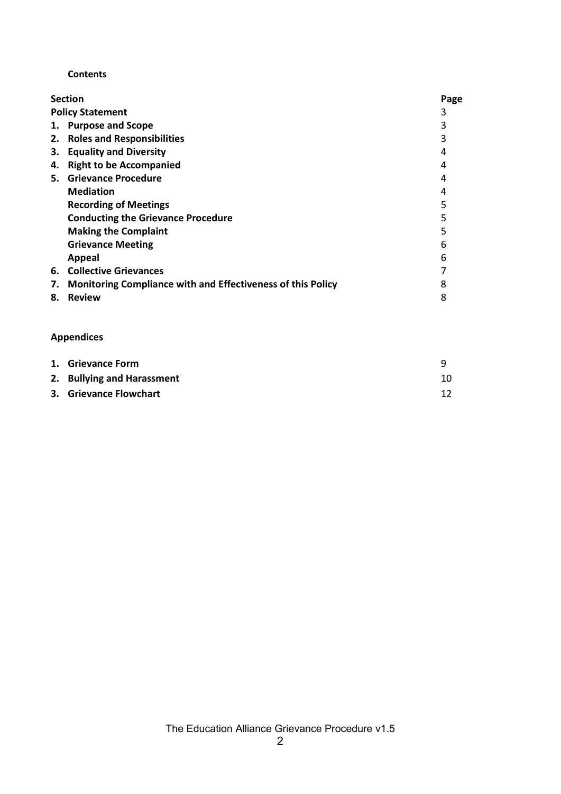#### **Contents**

|    | <b>Section</b>                                              | Page |
|----|-------------------------------------------------------------|------|
|    | <b>Policy Statement</b>                                     | 3    |
|    | 1. Purpose and Scope                                        |      |
|    | 2. Roles and Responsibilities                               |      |
| 3. | <b>Equality and Diversity</b>                               |      |
| 4. | <b>Right to be Accompanied</b>                              | 4    |
|    | 5. Grievance Procedure                                      | 4    |
|    | <b>Mediation</b>                                            |      |
|    | <b>Recording of Meetings</b>                                |      |
|    | <b>Conducting the Grievance Procedure</b>                   |      |
|    | <b>Making the Complaint</b>                                 |      |
|    | <b>Grievance Meeting</b>                                    | 6    |
|    | Appeal                                                      | 6    |
| 6. | <b>Collective Grievances</b>                                |      |
| 7. | Monitoring Compliance with and Effectiveness of this Policy | 8    |
| 8. | <b>Review</b>                                               | 8    |
|    |                                                             |      |

## Appendices

| 1. Grievance Form          |    |
|----------------------------|----|
| 2. Bullying and Harassment | 10 |
| 3. Grievance Flowchart     |    |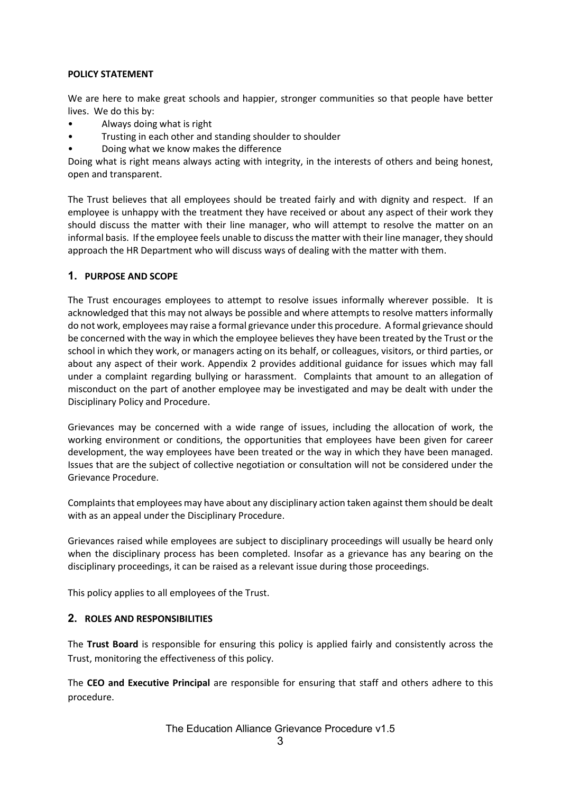#### POLICY STATEMENT

We are here to make great schools and happier, stronger communities so that people have better lives. We do this by:

- Always doing what is right
- Trusting in each other and standing shoulder to shoulder
- Doing what we know makes the difference

Doing what is right means always acting with integrity, in the interests of others and being honest, open and transparent.

The Trust believes that all employees should be treated fairly and with dignity and respect. If an employee is unhappy with the treatment they have received or about any aspect of their work they should discuss the matter with their line manager, who will attempt to resolve the matter on an informal basis. If the employee feels unable to discuss the matter with their line manager, they should approach the HR Department who will discuss ways of dealing with the matter with them.

## 1. PURPOSE AND SCOPE

The Trust encourages employees to attempt to resolve issues informally wherever possible. It is acknowledged that this may not always be possible and where attempts to resolve matters informally do not work, employees may raise a formal grievance under this procedure. A formal grievance should be concerned with the way in which the employee believes they have been treated by the Trust or the school in which they work, or managers acting on its behalf, or colleagues, visitors, or third parties, or about any aspect of their work. Appendix 2 provides additional guidance for issues which may fall under a complaint regarding bullying or harassment. Complaints that amount to an allegation of misconduct on the part of another employee may be investigated and may be dealt with under the Disciplinary Policy and Procedure.

Grievances may be concerned with a wide range of issues, including the allocation of work, the working environment or conditions, the opportunities that employees have been given for career development, the way employees have been treated or the way in which they have been managed. Issues that are the subject of collective negotiation or consultation will not be considered under the Grievance Procedure.

Complaints that employees may have about any disciplinary action taken against them should be dealt with as an appeal under the Disciplinary Procedure.

Grievances raised while employees are subject to disciplinary proceedings will usually be heard only when the disciplinary process has been completed. Insofar as a grievance has any bearing on the disciplinary proceedings, it can be raised as a relevant issue during those proceedings.

This policy applies to all employees of the Trust.

## 2. ROLES AND RESPONSIBILITIES

The Trust Board is responsible for ensuring this policy is applied fairly and consistently across the Trust, monitoring the effectiveness of this policy.

The CEO and Executive Principal are responsible for ensuring that staff and others adhere to this procedure.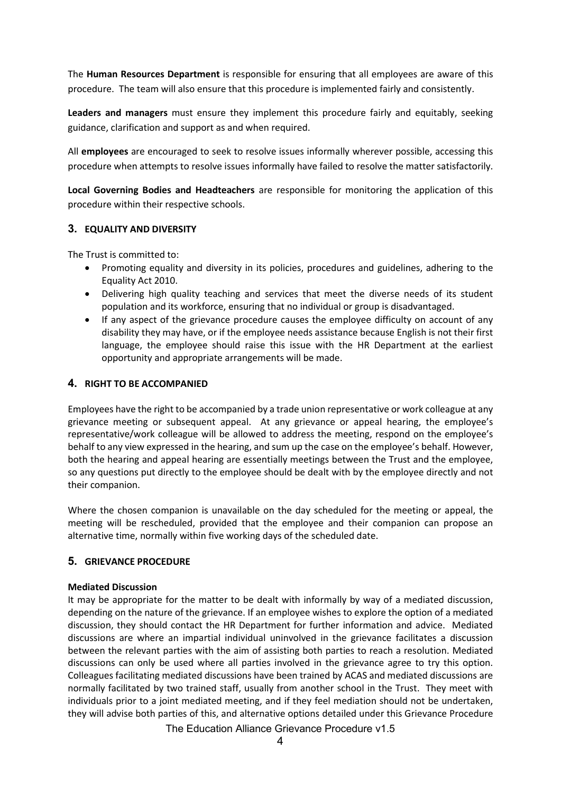The Human Resources Department is responsible for ensuring that all employees are aware of this procedure. The team will also ensure that this procedure is implemented fairly and consistently.

Leaders and managers must ensure they implement this procedure fairly and equitably, seeking guidance, clarification and support as and when required.

All employees are encouraged to seek to resolve issues informally wherever possible, accessing this procedure when attempts to resolve issues informally have failed to resolve the matter satisfactorily.

Local Governing Bodies and Headteachers are responsible for monitoring the application of this procedure within their respective schools.

## 3. EQUALITY AND DIVERSITY

The Trust is committed to:

- Promoting equality and diversity in its policies, procedures and guidelines, adhering to the Equality Act 2010.
- Delivering high quality teaching and services that meet the diverse needs of its student population and its workforce, ensuring that no individual or group is disadvantaged.
- If any aspect of the grievance procedure causes the employee difficulty on account of any disability they may have, or if the employee needs assistance because English is not their first language, the employee should raise this issue with the HR Department at the earliest opportunity and appropriate arrangements will be made.

## 4. RIGHT TO BE ACCOMPANIED

Employees have the right to be accompanied by a trade union representative or work colleague at any grievance meeting or subsequent appeal. At any grievance or appeal hearing, the employee's representative/work colleague will be allowed to address the meeting, respond on the employee's behalf to any view expressed in the hearing, and sum up the case on the employee's behalf. However, both the hearing and appeal hearing are essentially meetings between the Trust and the employee, so any questions put directly to the employee should be dealt with by the employee directly and not their companion.

Where the chosen companion is unavailable on the day scheduled for the meeting or appeal, the meeting will be rescheduled, provided that the employee and their companion can propose an alternative time, normally within five working days of the scheduled date.

## 5. GRIEVANCE PROCEDURE

#### Mediated Discussion

It may be appropriate for the matter to be dealt with informally by way of a mediated discussion, depending on the nature of the grievance. If an employee wishes to explore the option of a mediated discussion, they should contact the HR Department for further information and advice. Mediated discussions are where an impartial individual uninvolved in the grievance facilitates a discussion between the relevant parties with the aim of assisting both parties to reach a resolution. Mediated discussions can only be used where all parties involved in the grievance agree to try this option. Colleagues facilitating mediated discussions have been trained by ACAS and mediated discussions are normally facilitated by two trained staff, usually from another school in the Trust. They meet with individuals prior to a joint mediated meeting, and if they feel mediation should not be undertaken, they will advise both parties of this, and alternative options detailed under this Grievance Procedure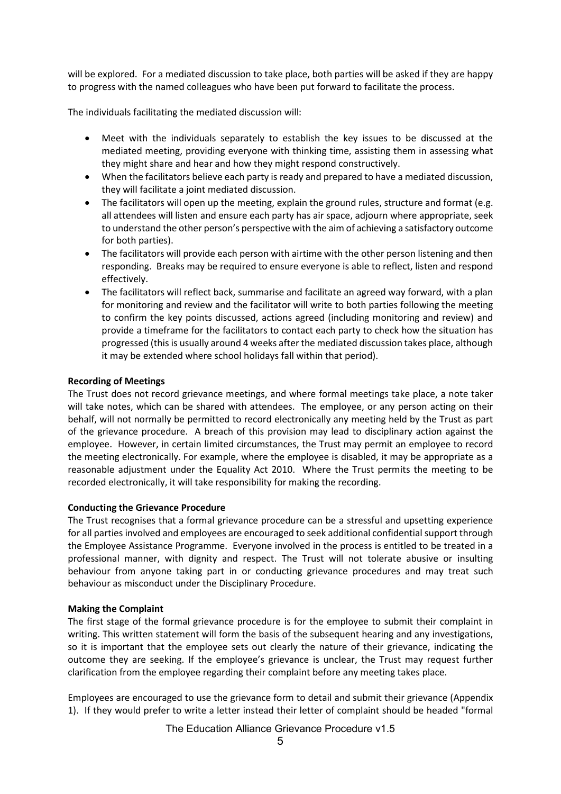will be explored. For a mediated discussion to take place, both parties will be asked if they are happy to progress with the named colleagues who have been put forward to facilitate the process.

The individuals facilitating the mediated discussion will:

- Meet with the individuals separately to establish the key issues to be discussed at the mediated meeting, providing everyone with thinking time, assisting them in assessing what they might share and hear and how they might respond constructively.
- When the facilitators believe each party is ready and prepared to have a mediated discussion, they will facilitate a joint mediated discussion.
- The facilitators will open up the meeting, explain the ground rules, structure and format (e.g. all attendees will listen and ensure each party has air space, adjourn where appropriate, seek to understand the other person's perspective with the aim of achieving a satisfactory outcome for both parties).
- The facilitators will provide each person with airtime with the other person listening and then responding. Breaks may be required to ensure everyone is able to reflect, listen and respond effectively.
- The facilitators will reflect back, summarise and facilitate an agreed way forward, with a plan for monitoring and review and the facilitator will write to both parties following the meeting to confirm the key points discussed, actions agreed (including monitoring and review) and provide a timeframe for the facilitators to contact each party to check how the situation has progressed (this is usually around 4 weeks after the mediated discussion takes place, although it may be extended where school holidays fall within that period).

#### Recording of Meetings

The Trust does not record grievance meetings, and where formal meetings take place, a note taker will take notes, which can be shared with attendees. The employee, or any person acting on their behalf, will not normally be permitted to record electronically any meeting held by the Trust as part of the grievance procedure. A breach of this provision may lead to disciplinary action against the employee. However, in certain limited circumstances, the Trust may permit an employee to record the meeting electronically. For example, where the employee is disabled, it may be appropriate as a reasonable adjustment under the Equality Act 2010. Where the Trust permits the meeting to be recorded electronically, it will take responsibility for making the recording.

#### Conducting the Grievance Procedure

The Trust recognises that a formal grievance procedure can be a stressful and upsetting experience for all parties involved and employees are encouraged to seek additional confidential support through the Employee Assistance Programme. Everyone involved in the process is entitled to be treated in a professional manner, with dignity and respect. The Trust will not tolerate abusive or insulting behaviour from anyone taking part in or conducting grievance procedures and may treat such behaviour as misconduct under the Disciplinary Procedure.

#### Making the Complaint

The first stage of the formal grievance procedure is for the employee to submit their complaint in writing. This written statement will form the basis of the subsequent hearing and any investigations, so it is important that the employee sets out clearly the nature of their grievance, indicating the outcome they are seeking. If the employee's grievance is unclear, the Trust may request further clarification from the employee regarding their complaint before any meeting takes place.

Employees are encouraged to use the grievance form to detail and submit their grievance (Appendix 1). If they would prefer to write a letter instead their letter of complaint should be headed "formal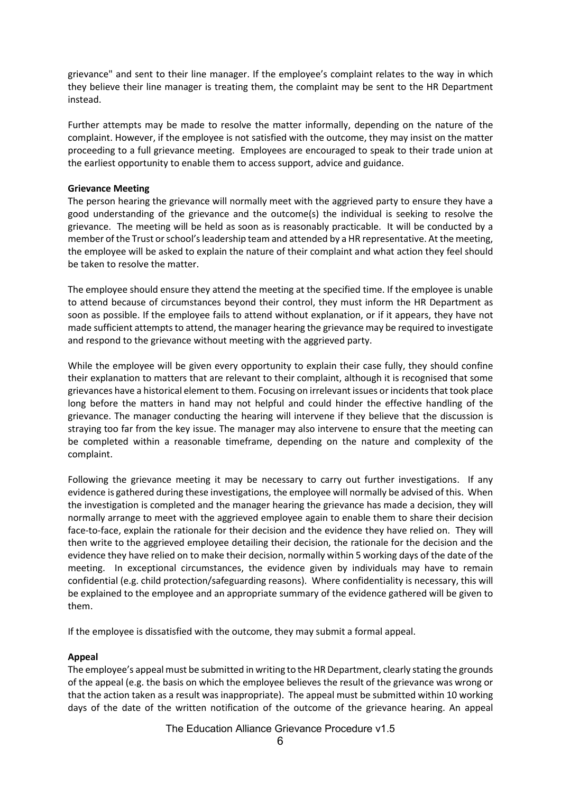grievance" and sent to their line manager. If the employee's complaint relates to the way in which they believe their line manager is treating them, the complaint may be sent to the HR Department instead.

Further attempts may be made to resolve the matter informally, depending on the nature of the complaint. However, if the employee is not satisfied with the outcome, they may insist on the matter proceeding to a full grievance meeting. Employees are encouraged to speak to their trade union at the earliest opportunity to enable them to access support, advice and guidance.

#### Grievance Meeting

The person hearing the grievance will normally meet with the aggrieved party to ensure they have a good understanding of the grievance and the outcome(s) the individual is seeking to resolve the grievance. The meeting will be held as soon as is reasonably practicable. It will be conducted by a member of the Trust or school's leadership team and attended by a HR representative. At the meeting, the employee will be asked to explain the nature of their complaint and what action they feel should be taken to resolve the matter.

The employee should ensure they attend the meeting at the specified time. If the employee is unable to attend because of circumstances beyond their control, they must inform the HR Department as soon as possible. If the employee fails to attend without explanation, or if it appears, they have not made sufficient attempts to attend, the manager hearing the grievance may be required to investigate and respond to the grievance without meeting with the aggrieved party.

While the employee will be given every opportunity to explain their case fully, they should confine their explanation to matters that are relevant to their complaint, although it is recognised that some grievances have a historical element to them. Focusing on irrelevant issues or incidents that took place long before the matters in hand may not helpful and could hinder the effective handling of the grievance. The manager conducting the hearing will intervene if they believe that the discussion is straying too far from the key issue. The manager may also intervene to ensure that the meeting can be completed within a reasonable timeframe, depending on the nature and complexity of the complaint.

Following the grievance meeting it may be necessary to carry out further investigations. If any evidence is gathered during these investigations, the employee will normally be advised of this. When the investigation is completed and the manager hearing the grievance has made a decision, they will normally arrange to meet with the aggrieved employee again to enable them to share their decision face-to-face, explain the rationale for their decision and the evidence they have relied on. They will then write to the aggrieved employee detailing their decision, the rationale for the decision and the evidence they have relied on to make their decision, normally within 5 working days of the date of the meeting. In exceptional circumstances, the evidence given by individuals may have to remain confidential (e.g. child protection/safeguarding reasons). Where confidentiality is necessary, this will be explained to the employee and an appropriate summary of the evidence gathered will be given to them.

If the employee is dissatisfied with the outcome, they may submit a formal appeal.

## Appeal

The employee's appeal must be submitted in writing to the HR Department, clearly stating the grounds of the appeal (e.g. the basis on which the employee believes the result of the grievance was wrong or that the action taken as a result was inappropriate). The appeal must be submitted within 10 working days of the date of the written notification of the outcome of the grievance hearing. An appeal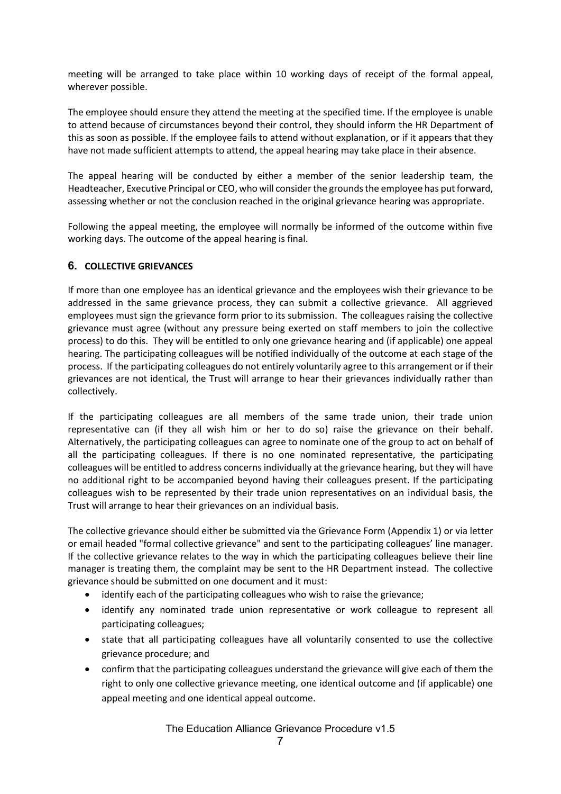meeting will be arranged to take place within 10 working days of receipt of the formal appeal, wherever possible.

The employee should ensure they attend the meeting at the specified time. If the employee is unable to attend because of circumstances beyond their control, they should inform the HR Department of this as soon as possible. If the employee fails to attend without explanation, or if it appears that they have not made sufficient attempts to attend, the appeal hearing may take place in their absence.

The appeal hearing will be conducted by either a member of the senior leadership team, the Headteacher, Executive Principal or CEO, who will consider the grounds the employee has put forward, assessing whether or not the conclusion reached in the original grievance hearing was appropriate.

Following the appeal meeting, the employee will normally be informed of the outcome within five working days. The outcome of the appeal hearing is final.

## 6. COLLECTIVE GRIEVANCES

If more than one employee has an identical grievance and the employees wish their grievance to be addressed in the same grievance process, they can submit a collective grievance. All aggrieved employees must sign the grievance form prior to its submission. The colleagues raising the collective grievance must agree (without any pressure being exerted on staff members to join the collective process) to do this. They will be entitled to only one grievance hearing and (if applicable) one appeal hearing. The participating colleagues will be notified individually of the outcome at each stage of the process. If the participating colleagues do not entirely voluntarily agree to this arrangement or if their grievances are not identical, the Trust will arrange to hear their grievances individually rather than collectively.

If the participating colleagues are all members of the same trade union, their trade union representative can (if they all wish him or her to do so) raise the grievance on their behalf. Alternatively, the participating colleagues can agree to nominate one of the group to act on behalf of all the participating colleagues. If there is no one nominated representative, the participating colleagues will be entitled to address concerns individually at the grievance hearing, but they will have no additional right to be accompanied beyond having their colleagues present. If the participating colleagues wish to be represented by their trade union representatives on an individual basis, the Trust will arrange to hear their grievances on an individual basis.

The collective grievance should either be submitted via the Grievance Form (Appendix 1) or via letter or email headed "formal collective grievance" and sent to the participating colleagues' line manager. If the collective grievance relates to the way in which the participating colleagues believe their line manager is treating them, the complaint may be sent to the HR Department instead. The collective grievance should be submitted on one document and it must:

- identify each of the participating colleagues who wish to raise the grievance;
- identify any nominated trade union representative or work colleague to represent all participating colleagues;
- state that all participating colleagues have all voluntarily consented to use the collective grievance procedure; and
- confirm that the participating colleagues understand the grievance will give each of them the right to only one collective grievance meeting, one identical outcome and (if applicable) one appeal meeting and one identical appeal outcome.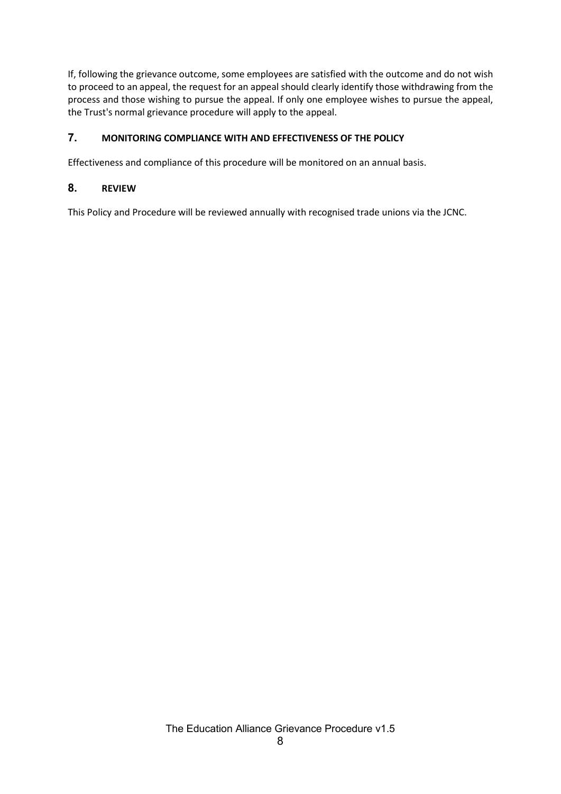If, following the grievance outcome, some employees are satisfied with the outcome and do not wish to proceed to an appeal, the request for an appeal should clearly identify those withdrawing from the process and those wishing to pursue the appeal. If only one employee wishes to pursue the appeal, the Trust's normal grievance procedure will apply to the appeal.

## 7. MONITORING COMPLIANCE WITH AND EFFECTIVENESS OF THE POLICY

Effectiveness and compliance of this procedure will be monitored on an annual basis.

## 8. REVIEW

This Policy and Procedure will be reviewed annually with recognised trade unions via the JCNC.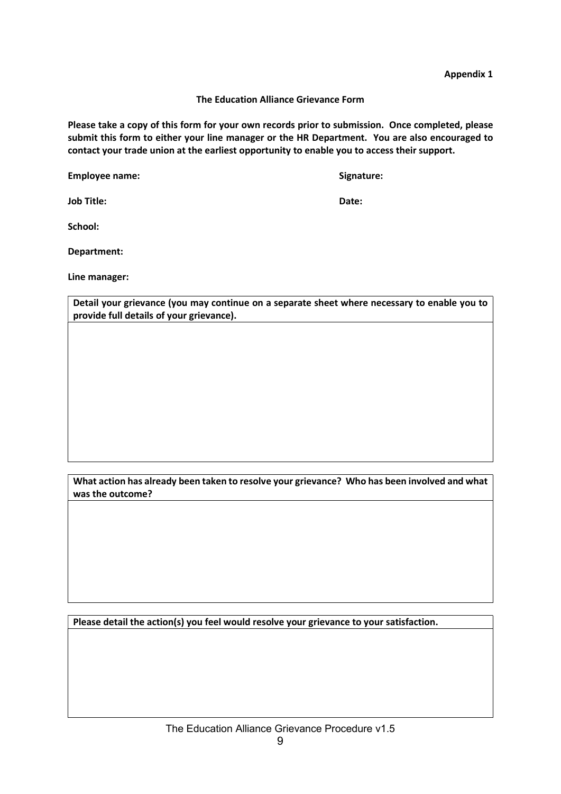Appendix 1

The Education Alliance Grievance Form

Please take a copy of this form for your own records prior to submission. Once completed, please submit this form to either your line manager or the HR Department. You are also encouraged to contact your trade union at the earliest opportunity to enable you to access their support.

Employee name: Signature: Signature: Signature: Signature: Signature: Signature: Signature: Signature: Signature: Signature: Signature: Signature: Signature: Signature: Signature: Signature: Signature: Signature: Signature

Job Title: Date:

School:

Department:

Line manager:

Detail your grievance (you may continue on a separate sheet where necessary to enable you to provide full details of your grievance).

What action has already been taken to resolve your grievance? Who has been involved and what was the outcome?

Please detail the action(s) you feel would resolve your grievance to your satisfaction.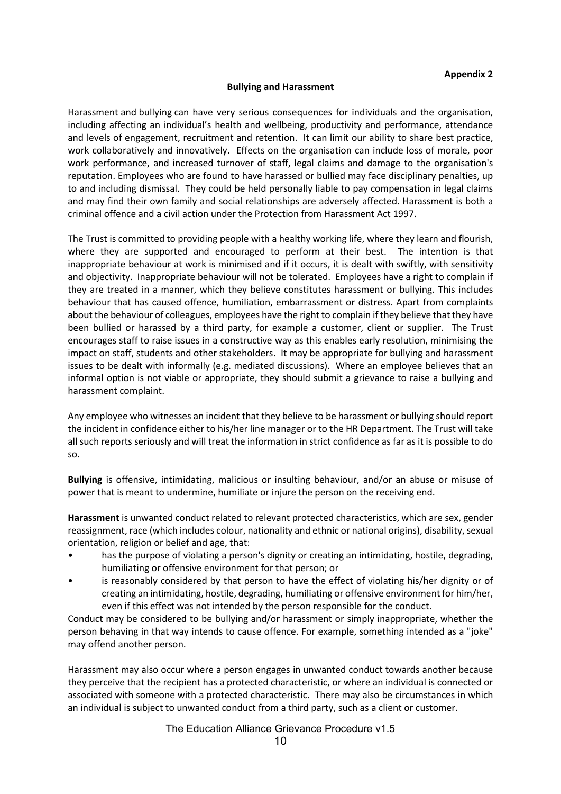#### Bullying and Harassment

Harassment and bullying can have very serious consequences for individuals and the organisation, including affecting an individual's health and wellbeing, productivity and performance, attendance and levels of engagement, recruitment and retention. It can limit our ability to share best practice, work collaboratively and innovatively. Effects on the organisation can include loss of morale, poor work performance, and increased turnover of staff, legal claims and damage to the organisation's reputation. Employees who are found to have harassed or bullied may face disciplinary penalties, up to and including dismissal. They could be held personally liable to pay compensation in legal claims and may find their own family and social relationships are adversely affected. Harassment is both a criminal offence and a civil action under the Protection from Harassment Act 1997.

The Trust is committed to providing people with a healthy working life, where they learn and flourish, where they are supported and encouraged to perform at their best. The intention is that inappropriate behaviour at work is minimised and if it occurs, it is dealt with swiftly, with sensitivity and objectivity. Inappropriate behaviour will not be tolerated. Employees have a right to complain if they are treated in a manner, which they believe constitutes harassment or bullying. This includes behaviour that has caused offence, humiliation, embarrassment or distress. Apart from complaints about the behaviour of colleagues, employees have the right to complain if they believe that they have been bullied or harassed by a third party, for example a customer, client or supplier. The Trust encourages staff to raise issues in a constructive way as this enables early resolution, minimising the impact on staff, students and other stakeholders. It may be appropriate for bullying and harassment issues to be dealt with informally (e.g. mediated discussions). Where an employee believes that an informal option is not viable or appropriate, they should submit a grievance to raise a bullying and harassment complaint.

Any employee who witnesses an incident that they believe to be harassment or bullying should report the incident in confidence either to his/her line manager or to the HR Department. The Trust will take all such reports seriously and will treat the information in strict confidence as far as it is possible to do so.

Bullying is offensive, intimidating, malicious or insulting behaviour, and/or an abuse or misuse of power that is meant to undermine, humiliate or injure the person on the receiving end.

Harassment is unwanted conduct related to relevant protected characteristics, which are sex, gender reassignment, race (which includes colour, nationality and ethnic or national origins), disability, sexual orientation, religion or belief and age, that:

- has the purpose of violating a person's dignity or creating an intimidating, hostile, degrading, humiliating or offensive environment for that person; or
- is reasonably considered by that person to have the effect of violating his/her dignity or of creating an intimidating, hostile, degrading, humiliating or offensive environment for him/her, even if this effect was not intended by the person responsible for the conduct.

Conduct may be considered to be bullying and/or harassment or simply inappropriate, whether the person behaving in that way intends to cause offence. For example, something intended as a "joke" may offend another person.

Harassment may also occur where a person engages in unwanted conduct towards another because they perceive that the recipient has a protected characteristic, or where an individual is connected or associated with someone with a protected characteristic. There may also be circumstances in which an individual is subject to unwanted conduct from a third party, such as a client or customer.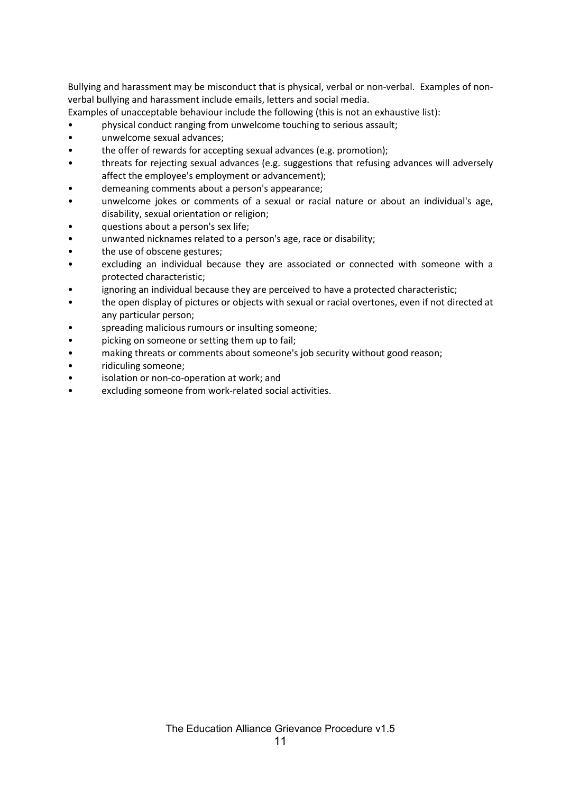Bullying and harassment may be misconduct that is physical, verbal or non-verbal. Examples of nonverbal bullying and harassment include emails, letters and social media.

Examples of unacceptable behaviour include the following (this is not an exhaustive list):

• physical conduct ranging from unwelcome touching to serious assault;

- unwelcome sexual advances;
- the offer of rewards for accepting sexual advances (e.g. promotion);
- threats for rejecting sexual advances (e.g. suggestions that refusing advances will adversely affect the employee's employment or advancement);
- demeaning comments about a person's appearance;
- unwelcome jokes or comments of a sexual or racial nature or about an individual's age, disability, sexual orientation or religion;
- questions about a person's sex life;
- unwanted nicknames related to a person's age, race or disability;
- the use of obscene gestures;
- excluding an individual because they are associated or connected with someone with a protected characteristic;
- ignoring an individual because they are perceived to have a protected characteristic;
- the open display of pictures or objects with sexual or racial overtones, even if not directed at any particular person;
- spreading malicious rumours or insulting someone;
- picking on someone or setting them up to fail;
- making threats or comments about someone's job security without good reason;
- ridiculing someone;
- isolation or non-co-operation at work; and
- excluding someone from work-related social activities.